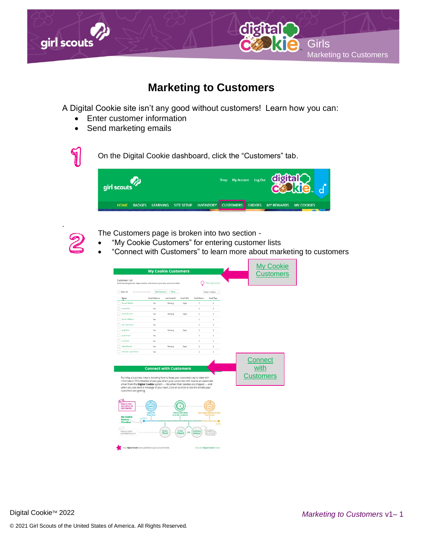

# **Marketing to Customers**

A Digital Cookie site isn't any good without customers! Learn how you can:

- Enter customer information
- Send marketing emails



On the Digital Cookie dashboard, click the "Customers" tab.





.

The Customers page is broken into two section -

- "My Cookie Customers" for entering customer lists
- "Connect with Customers" to learn more about marketing to customers

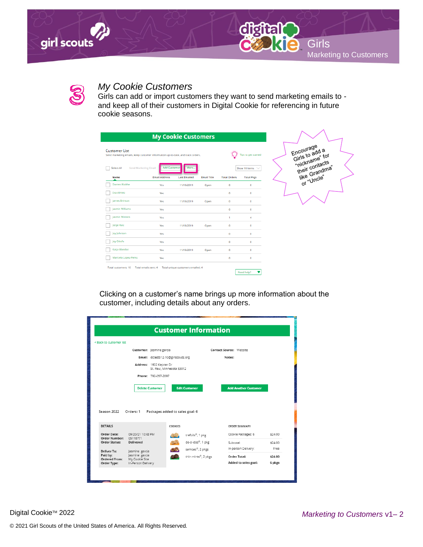





# *My Cookie Customers*

Girls can add or import customers they want to send marketing emails to and keep all of their customers in Digital Cookie for referencing in future cookie seasons.

|                                                                                                        |                                             | <b>My Cookie Customers</b>        |                    |                     |                                    |
|--------------------------------------------------------------------------------------------------------|---------------------------------------------|-----------------------------------|--------------------|---------------------|------------------------------------|
| <b>Customer List</b><br>Send marketing emails, keep customer information up-to-date, and track orders. |                                             |                                   |                    |                     | Tips to get started                |
| Send Marketing Email<br>Select All<br>Name                                                             | <b>Add Customer</b><br><b>Email Address</b> | More<br><b>Last Emailed</b>       | <b>Email Title</b> | <b>Total Orders</b> | Show 10 Items<br><b>Total Pkgs</b> |
| <b>Darren Waithe</b>                                                                                   | Yes                                         | 11/18/2019                        | Open               | Ō                   | ö                                  |
| Eva Almiro                                                                                             | Yes                                         |                                   |                    | Ō                   | o                                  |
| lames Brinson                                                                                          | Yes                                         | 11/18/2019                        | Open               | $\bullet$           | o                                  |
| lasmin Williams                                                                                        | Yes                                         |                                   |                    | ٥                   | o                                  |
| asmin Winters                                                                                          | Yes                                         |                                   |                    | 4                   | 4                                  |
| orge Ruiz                                                                                              | <b>Yes</b>                                  | 11/18/2019                        | Open               | $\bullet$           | ō                                  |
| Joy Johnson                                                                                            | Yes                                         |                                   |                    | ٥                   | o                                  |
| loy Odufu                                                                                              | Yes                                         |                                   |                    | ٥                   | ٥                                  |
| Katja Mandivi                                                                                          | Yes                                         | 11/18/2019                        | Open               | $\bullet$           | o                                  |
| Maricela Lopez-Perez                                                                                   | Yes                                         |                                   |                    | ٥                   | o                                  |
| Total customers: 10<br>Total emails sent: 4                                                            |                                             | Total unique customers emailed: 4 |                    |                     |                                    |
|                                                                                                        |                                             |                                   |                    |                     | ▼<br>Need help?                    |

Clicking on a customer's name brings up more information about the customer, including details about any orders.

|                                     |                                  | <b>Customer Information</b>                                             |                                            |                 |
|-------------------------------------|----------------------------------|-------------------------------------------------------------------------|--------------------------------------------|-----------------|
| < Back to customer list             |                                  |                                                                         |                                            |                 |
|                                     | Customer: Jasmine garcia         |                                                                         | Contact Source: Website                    |                 |
|                                     |                                  | Email: dctest512-10@girlscouts.org                                      | Notes:                                     |                 |
|                                     | Address: 1602 Kepner Dr          | St. Paul, Minnesota 53012                                               |                                            |                 |
|                                     | Phone: 792-057-2097              |                                                                         |                                            |                 |
|                                     | <b>Delete Customer</b>           | <b>Edit Customer</b>                                                    | <b>Add Another Customer</b>                |                 |
| Season 2022 Orders: 1               |                                  |                                                                         |                                            |                 |
| <b>DETAILS</b>                      |                                  | Packages added to sales goal: 6<br>COOKIES                              | ORDER SUMMARY                              |                 |
|                                     |                                  |                                                                         |                                            |                 |
| <b>Order Date:</b><br>Order Number: | 09/20/21 10:43 PM<br>05118771    | trefoils®, 1 pkg<br><b>SALL</b>                                         | Cookie Packages: 6                         | \$24.00         |
| Order Status:                       | Delivered                        | do-si-dos®, 1 pkg<br>$\mathbb{E}[\mathbb{E}^{(1)}]$                     | Subtotal:                                  | \$24.00<br>Free |
| Deliver To:<br>Paid by:             | Jasmine garcia<br>Jasmine garcia | samoas®, 2 pkgs<br><b>ALCOHOL</b><br><b>Call</b><br>thin mints®, 2 pkgs | In-person Delivery:<br><b>Order Total:</b> | \$24.00         |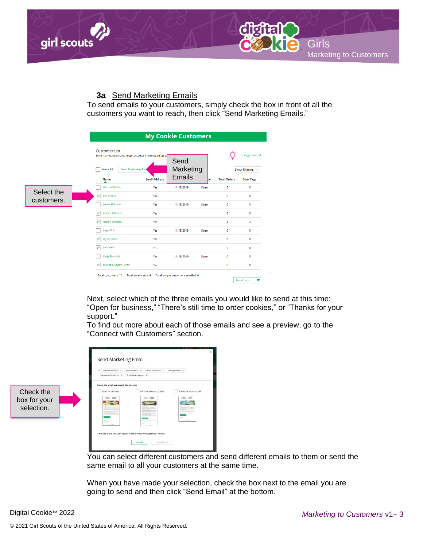



## **3a** Send Marketing Emails

To send emails to your customers, simply check the box in front of all the customers you want to reach, then click "Send Marketing Emails."



Next, select which of the three emails you would like to send at this time: "Open for business," "There's still time to order cookies," or "Thanks for your support."

To find out more about each of those emails and see a preview, go to the "Connect with Customers" section.

|                                         | <b>Send Marketing Email</b><br>To: Brenda Wollnski X<br>JayAnne Ruiz X<br>Sarah Shepherd X Scott Jameson X<br>Stephanie Cerotious X<br>Todd Worthington X                                                                                                                                                     |
|-----------------------------------------|---------------------------------------------------------------------------------------------------------------------------------------------------------------------------------------------------------------------------------------------------------------------------------------------------------------|
| Check the<br>box for your<br>selection. | Select the email you would like to send:<br>Open for business<br>Still time to order cookies!<br>Thanks for your support<br>÷<br>1922<br>$-$<br>$-$<br>2022<br>2007<br>32544<br>11111<br><b>Business</b><br>=<br>4 - - - -<br>A full view of this email can be seen in the "Connect with Customers" timeline. |

You can select different customers and send different emails to them or send the same email to all your customers at the same time.

When you have made your selection, check the box next to the email you are going to send and then click "Send Email" at the bottom.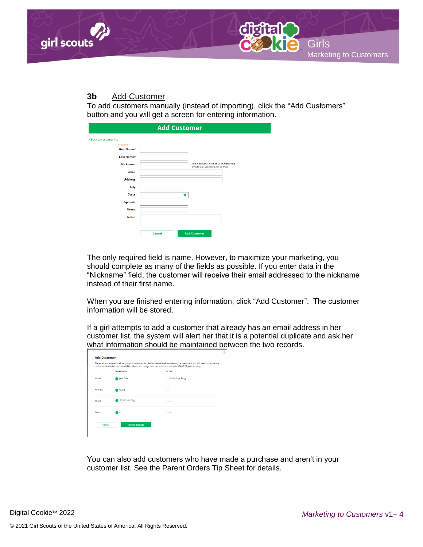

## **3b** Add Customer

To add customers manually (instead of importing), click the "Add Customers" button and you will get a screen for entering information.

| <b>Add Customer</b>                                                                                                                                                              |        |                                                                             |  |  |  |
|----------------------------------------------------------------------------------------------------------------------------------------------------------------------------------|--------|-----------------------------------------------------------------------------|--|--|--|
| < Back to customer list<br>required *<br>First Name:*<br>Last Name:*<br>Nickname:<br>Email:<br><b>Address:</b><br>City:<br>State:<br><b>Zip Code:</b><br><b>Phone:</b><br>Notes: |        | Add a personal hello to your marketing<br>emails, e.g. Grandma, Uncle Mike. |  |  |  |
|                                                                                                                                                                                  | Cancel | <b>Add Customer</b>                                                         |  |  |  |

The only required field is name. However, to maximize your marketing, you should complete as many of the fields as possible. If you enter data in the "Nickname" field, the customer will receive their email addressed to the nickname instead of their first name.

When you are finished entering information, click "Add Customer". The customer information will be stored.

If a girl attempts to add a customer that already has an email address in her customer list, the system will alert her that it is a potential duplicate and ask her what information should be maintained between the two records.

|              | <b>YOU ENTERED</b>   | customer information you would like to keep and merge these records for email: dctest664-22@girlscouts.org<br><b>ON FILE</b> |  |
|--------------|----------------------|------------------------------------------------------------------------------------------------------------------------------|--|
| Name         | Jane Dow             | <b>Suzie Greenburg</b>                                                                                                       |  |
| Address      | 43215                | $\bigcap$ and                                                                                                                |  |
| Phone        | 325-235-0273,        | $\bigcap$ and                                                                                                                |  |
| <b>Notes</b> | ---                  | $\bigcap$ and                                                                                                                |  |
| Cancel       | <b>Merge Records</b> |                                                                                                                              |  |

You can also add customers who have made a purchase and aren't in your customer list. See the Parent Orders Tip Sheet for details.

Digital Cookie™ 2022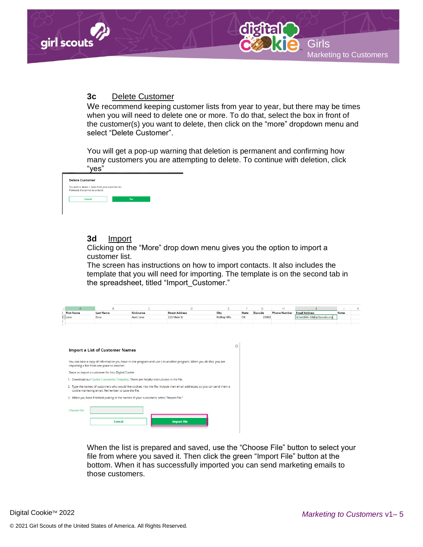

#### **3c** Delete Customer

We recommend keeping customer lists from year to year, but there may be times when you will need to delete one or more. To do that, select the box in front of the customer(s) you want to delete, then click on the "more" dropdown menu and select "Delete Customer".

You will get a pop-up warning that deletion is permanent and confirming how many customers you are attempting to delete. To continue with deletion, click "yes"

| You want to delete 1 name from your customer list. |     |  |
|----------------------------------------------------|-----|--|
| If deleted, this cannot be undone.                 |     |  |
|                                                    |     |  |
| Cancel                                             | Yes |  |

#### **3d** Import

Clicking on the "More" drop down menu gives you the option to import a customer list.

The screen has instructions on how to import contacts. It also includes the template that you will need for importing. The template is on the second tab in the spreadsheet, titled "Import Customer."

| A                  | B                                                                                       |                  | $\mathsf{D}$                                                                                                              |                      |              | G       | H                   |                             |              | κ |
|--------------------|-----------------------------------------------------------------------------------------|------------------|---------------------------------------------------------------------------------------------------------------------------|----------------------|--------------|---------|---------------------|-----------------------------|--------------|---|
| <b>First Name</b>  | <b>Last Name</b>                                                                        | Nickname         | <b>Street Address</b>                                                                                                     | City                 | <b>State</b> | Zipcode | <b>Phone Number</b> | <b>Email Address</b>        | <b>Notes</b> |   |
| Jane               | Dow                                                                                     | <b>Aunt Jane</b> | 123 Main St                                                                                                               | <b>Rolling Hills</b> | OK           | 23902   |                     | dctest664-14@girlscouts.org |              |   |
|                    |                                                                                         |                  |                                                                                                                           |                      |              |         |                     |                             |              |   |
|                    |                                                                                         |                  |                                                                                                                           |                      |              |         |                     |                             |              |   |
|                    |                                                                                         |                  |                                                                                                                           |                      |              |         |                     |                             |              |   |
|                    |                                                                                         |                  |                                                                                                                           |                      |              |         |                     |                             |              |   |
|                    |                                                                                         |                  |                                                                                                                           |                      |              |         |                     |                             |              |   |
|                    |                                                                                         |                  |                                                                                                                           | O                    |              |         |                     |                             |              |   |
|                    | <b>Import a List of Customer Names</b>                                                  |                  |                                                                                                                           |                      |              |         |                     |                             |              |   |
|                    |                                                                                         |                  |                                                                                                                           |                      |              |         |                     |                             |              |   |
|                    |                                                                                         |                  | You can take a copy of information you have in one program and use it in another program. When you do this, you are       |                      |              |         |                     |                             |              |   |
|                    | importing a file from one place to another.                                             |                  |                                                                                                                           |                      |              |         |                     |                             |              |   |
|                    | Steps to import a customer list into Digital Cookie                                     |                  |                                                                                                                           |                      |              |         |                     |                             |              |   |
|                    | 1. Download our Cookie Customers Template. There are helpful instructions in the file.  |                  |                                                                                                                           |                      |              |         |                     |                             |              |   |
|                    |                                                                                         |                  |                                                                                                                           |                      |              |         |                     |                             |              |   |
|                    | cookie marketing email. Remember to save the file.                                      |                  | 2. Type the names of customers who would like cookies into the file. Include their email addresses so you can send them a |                      |              |         |                     |                             |              |   |
|                    |                                                                                         |                  |                                                                                                                           |                      |              |         |                     |                             |              |   |
|                    | 3. When you have finished putting in the names of your customers, select "Import file." |                  |                                                                                                                           |                      |              |         |                     |                             |              |   |
|                    |                                                                                         |                  |                                                                                                                           |                      |              |         |                     |                             |              |   |
| <b>Choose File</b> |                                                                                         |                  |                                                                                                                           |                      |              |         |                     |                             |              |   |
|                    |                                                                                         |                  |                                                                                                                           |                      |              |         |                     |                             |              |   |
|                    |                                                                                         |                  |                                                                                                                           |                      |              |         |                     |                             |              |   |
|                    | Cancel                                                                                  |                  | <b>Import file</b>                                                                                                        |                      |              |         |                     |                             |              |   |

When the list is prepared and saved, use the "Choose File" button to select your file from where you saved it. Then click the green "Import File" button at the bottom. When it has successfully imported you can send marketing emails to those customers.

Digital Cookie™ 2022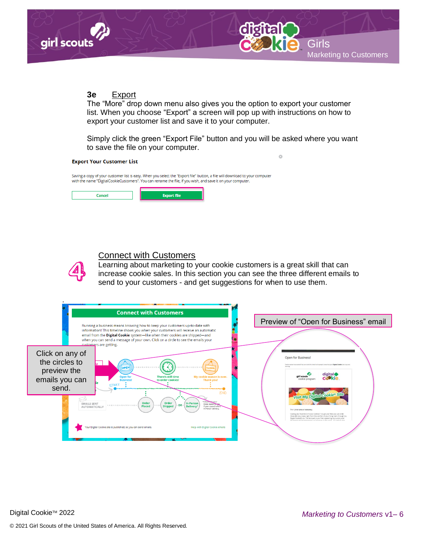

#### **3e** Export

The "More" drop down menu also gives you the option to export your customer list. When you choose "Export" a screen will pop up with instructions on how to export your customer list and save it to your computer.

Simply click the green "Export File" button and you will be asked where you want to save the file on your computer.

ō

#### **Export Your Customer List**

Saving a copy of your customer list is easy. When you select the "Export file" button, a file will download to your computer with the name "DigitalCookieCustomers". You can rename the file, if you wish, and save it on your computer.

| ------- |
|---------|
|         |

#### Connect with Customers

Learning about marketing to your cookie customers is a great skill that can increase cookie sales. In this section you can see the three different emails to send to your customers - and get suggestions for when to use them.

| <b>Connect with Customers</b>                                                                                                                                                                                                                                                                                                                                    |                                                                                                                                                                                                                                                                                                                                                           |
|------------------------------------------------------------------------------------------------------------------------------------------------------------------------------------------------------------------------------------------------------------------------------------------------------------------------------------------------------------------|-----------------------------------------------------------------------------------------------------------------------------------------------------------------------------------------------------------------------------------------------------------------------------------------------------------------------------------------------------------|
| Running a business means knowing how to keep your customers up-to-date with<br>information! This timeline shows you when your customers will receive an automatic<br>email from the Digital Cookie system-like when their cookies are shipped-and<br>when you can send a message of your own. Click on a circle to see the emails your<br>customers are getting. | Preview of "Open for Business" email                                                                                                                                                                                                                                                                                                                      |
| Click on any of<br>the circles to<br>OPEN<br>0.6000000000000<br>preview the<br><b>Open for</b><br>My cookie season is over.<br><b>There's still time</b><br>emails you can<br><b>Business!</b><br>to order cookies!<br><b>Thank you!</b><br>STAR <sub>1</sub><br>send.<br>END                                                                                    | Open for Business!<br>Cookie season has started You can send this email to let people know that your Digital Cookie site is up and<br>nancing<br>digital<br>airl scouts<br>cookie progran<br>Visit My Digital Cookie Site                                                                                                                                 |
| *Check with your<br>Order<br>Order<br><b>In-Person</b><br><b>EMAILS SENT</b><br>troop leader to se<br><b>OR</b><br><br><b>Shipped</b><br>Placed<br>Delivery*<br>if your council offer<br><b>AUTOMATICALLY</b><br>In-Person delivery<br>Your Digital Cookie site is published, so you can send emails.<br>Help with Digital Cookie emails                         | Dear (First name or nickname.)<br>Craving your favorite Girl Scout Cookies? I've got you! Now you can order<br>these delicious treats right from the comfort of your living room through my<br>Digital Cookie® site. The best part is you'll be supporting my success and<br>the largest girl-led entrepreneused rengram in the world It's kind of a high |